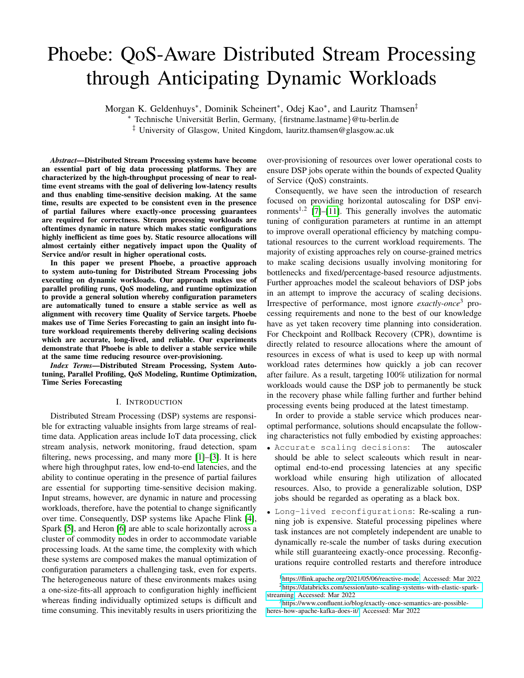# Phoebe: QoS-Aware Distributed Stream Processing through Anticipating Dynamic Workloads

Morgan K. Geldenhuys<sup>∗</sup>, Dominik Scheinert<sup>∗</sup>, Odej Kao<sup>∗</sup>, and Lauritz Thamsen<sup>‡</sup>

<sup>∗</sup> Technische Universitat Berlin, Germany, ¨ {firstname.lastname}@tu-berlin.de

‡ University of Glasgow, United Kingdom, lauritz.thamsen@glasgow.ac.uk

*Abstract*—Distributed Stream Processing systems have become an essential part of big data processing platforms. They are characterized by the high-throughput processing of near to realtime event streams with the goal of delivering low-latency results and thus enabling time-sensitive decision making. At the same time, results are expected to be consistent even in the presence of partial failures where exactly-once processing guarantees are required for correctness. Stream processing workloads are oftentimes dynamic in nature which makes static configurations highly inefficient as time goes by. Static resource allocations will almost certainly either negatively impact upon the Quality of Service and/or result in higher operational costs.

In this paper we present Phoebe, a proactive approach to system auto-tuning for Distributed Stream Processing jobs executing on dynamic workloads. Our approach makes use of parallel profiling runs, QoS modeling, and runtime optimization to provide a general solution whereby configuration parameters are automatically tuned to ensure a stable service as well as alignment with recovery time Quality of Service targets. Phoebe makes use of Time Series Forecasting to gain an insight into future workload requirements thereby delivering scaling decisions which are accurate, long-lived, and reliable. Our experiments demonstrate that Phoebe is able to deliver a stable service while at the same time reducing resource over-provisioning.

*Index Terms*—Distributed Stream Processing, System Autotuning, Parallel Profiling, QoS Modeling, Runtime Optimization, Time Series Forecasting

#### I. INTRODUCTION

Distributed Stream Processing (DSP) systems are responsible for extracting valuable insights from large streams of realtime data. Application areas include IoT data processing, click stream analysis, network monitoring, fraud detection, spam filtering, news processing, and many more [\[1\]](#page-9-0)–[\[3\]](#page-9-1). It is here where high throughput rates, low end-to-end latencies, and the ability to continue operating in the presence of partial failures are essential for supporting time-sensitive decision making. Input streams, however, are dynamic in nature and processing workloads, therefore, have the potential to change significantly over time. Consequently, DSP systems like Apache Flink [\[4\]](#page-9-2), Spark [\[5\]](#page-9-3), and Heron [\[6\]](#page-9-4) are able to scale horizontally across a cluster of commodity nodes in order to accommodate variable processing loads. At the same time, the complexity with which these systems are composed makes the manual optimization of configuration parameters a challenging task, even for experts. The heterogeneous nature of these environments makes using a one-size-fits-all approach to configuration highly inefficient whereas finding individually optimized setups is difficult and time consuming. This inevitably results in users prioritizing the over-provisioning of resources over lower operational costs to ensure DSP jobs operate within the bounds of expected Quality of Service (QoS) constraints.

Consequently, we have seen the introduction of research focused on providing horizontal autoscaling for DSP envi-ronments<sup>1,2</sup> [\[7\]](#page-9-5)–[\[11\]](#page-9-6). This generally involves the automatic tuning of configuration parameters at runtime in an attempt to improve overall operational efficiency by matching computational resources to the current workload requirements. The majority of existing approaches rely on course-grained metrics to make scaling decisions usually involving monitoring for bottlenecks and fixed/percentage-based resource adjustments. Further approaches model the scaleout behaviors of DSP jobs in an attempt to improve the accuracy of scaling decisions. Irrespective of performance, most ignore *exactly-once*<sup>3</sup> processing requirements and none to the best of our knowledge have as yet taken recovery time planning into consideration. For Checkpoint and Rollback Recovery (CPR), downtime is directly related to resource allocations where the amount of resources in excess of what is used to keep up with normal workload rates determines how quickly a job can recover after failure. As a result, targeting 100% utilization for normal workloads would cause the DSP job to permanently be stuck in the recovery phase while falling further and further behind processing events being produced at the latest timestamp.

In order to provide a stable service which produces nearoptimal performance, solutions should encapsulate the following characteristics not fully embodied by existing approaches:

- Accurate scaling decisions: The autoscaler should be able to select scaleouts which result in nearoptimal end-to-end processing latencies at any specific workload while ensuring high utilization of allocated resources. Also, to provide a generalizable solution, DSP jobs should be regarded as operating as a black box.
- Long-lived reconfigurations: Re-scaling a running job is expensive. Stateful processing pipelines where task instances are not completely independent are unable to dynamically re-scale the number of tasks during execution while still guaranteeing exactly-once processing. Reconfigurations require controlled restarts and therefore introduce

<sup>1</sup>[https://flink.apache.org/2021/05/06/reactive-mode,](https://flink.apache.org/2021/05/06/reactive-mode) Accessed: Mar 2022 <sup>2</sup>[https://databricks.com/session/auto-scaling-systems-with-elastic-spark](https://databricks.com/session/auto-scaling-systems-with-elastic-spark-streaming)[streaming,](https://databricks.com/session/auto-scaling-systems-with-elastic-spark-streaming) Accessed: Mar 2022

<sup>3</sup>[https://www.confluent.io/blog/exactly-once-semantics-are-possible](https://www.confluent.io/blog/exactly-once-semantics-are-possible-heres-how-apache-kafka-does-it/)[heres-how-apache-kafka-does-it/,](https://www.confluent.io/blog/exactly-once-semantics-are-possible-heres-how-apache-kafka-does-it/) Accessed: Mar 2022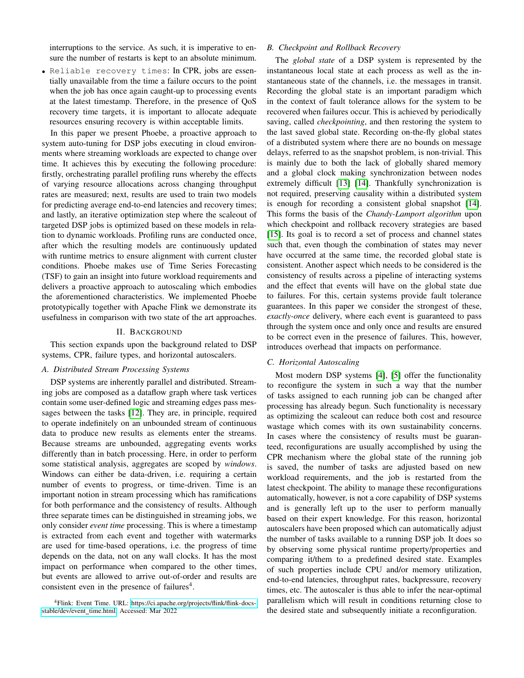interruptions to the service. As such, it is imperative to ensure the number of restarts is kept to an absolute minimum.

• Reliable recovery times: In CPR, jobs are essentially unavailable from the time a failure occurs to the point when the job has once again caught-up to processing events at the latest timestamp. Therefore, in the presence of QoS recovery time targets, it is important to allocate adequate resources ensuring recovery is within acceptable limits.

In this paper we present Phoebe, a proactive approach to system auto-tuning for DSP jobs executing in cloud environments where streaming workloads are expected to change over time. It achieves this by executing the following procedure: firstly, orchestrating parallel profiling runs whereby the effects of varying resource allocations across changing throughput rates are measured; next, results are used to train two models for predicting average end-to-end latencies and recovery times; and lastly, an iterative optimization step where the scaleout of targeted DSP jobs is optimized based on these models in relation to dynamic workloads. Profiling runs are conducted once, after which the resulting models are continuously updated with runtime metrics to ensure alignment with current cluster conditions. Phoebe makes use of Time Series Forecasting (TSF) to gain an insight into future workload requirements and delivers a proactive approach to autoscaling which embodies the aforementioned characteristics. We implemented Phoebe prototypically together with Apache Flink we demonstrate its usefulness in comparison with two state of the art approaches.

#### II. BACKGROUND

This section expands upon the background related to DSP systems, CPR, failure types, and horizontal autoscalers.

## *A. Distributed Stream Processing Systems*

DSP systems are inherently parallel and distributed. Streaming jobs are composed as a dataflow graph where task vertices contain some user-defined logic and streaming edges pass messages between the tasks [\[12\]](#page-9-7). They are, in principle, required to operate indefinitely on an unbounded stream of continuous data to produce new results as elements enter the streams. Because streams are unbounded, aggregating events works differently than in batch processing. Here, in order to perform some statistical analysis, aggregates are scoped by *windows*. Windows can either be data-driven, i.e. requiring a certain number of events to progress, or time-driven. Time is an important notion in stream processing which has ramifications for both performance and the consistency of results. Although three separate times can be distinguished in streaming jobs, we only consider *event time* processing. This is where a timestamp is extracted from each event and together with watermarks are used for time-based operations, i.e. the progress of time depends on the data, not on any wall clocks. It has the most impact on performance when compared to the other times, but events are allowed to arrive out-of-order and results are consistent even in the presence of failures $4$ .

## *B. Checkpoint and Rollback Recovery*

The *global state* of a DSP system is represented by the instantaneous local state at each process as well as the instantaneous state of the channels, i.e. the messages in transit. Recording the global state is an important paradigm which in the context of fault tolerance allows for the system to be recovered when failures occur. This is achieved by periodically saving, called *checkpointing*, and then restoring the system to the last saved global state. Recording on-the-fly global states of a distributed system where there are no bounds on message delays, referred to as the snapshot problem, is non-trivial. This is mainly due to both the lack of globally shared memory and a global clock making synchronization between nodes extremely difficult [\[13\]](#page-9-8) [\[14\]](#page-9-9). Thankfully synchronization is not required, preserving causality within a distributed system is enough for recording a consistent global snapshot [\[14\]](#page-9-9). This forms the basis of the *Chandy-Lamport algorithm* upon which checkpoint and rollback recovery strategies are based [\[15\]](#page-9-10). Its goal is to record a set of process and channel states such that, even though the combination of states may never have occurred at the same time, the recorded global state is consistent. Another aspect which needs to be considered is the consistency of results across a pipeline of interacting systems and the effect that events will have on the global state due to failures. For this, certain systems provide fault tolerance guarantees. In this paper we consider the strongest of these, *exactly-once* delivery, where each event is guaranteed to pass through the system once and only once and results are ensured to be correct even in the presence of failures. This, however, introduces overhead that impacts on performance.

#### *C. Horizontal Autoscaling*

Most modern DSP systems [\[4\]](#page-9-2), [\[5\]](#page-9-3) offer the functionality to reconfigure the system in such a way that the number of tasks assigned to each running job can be changed after processing has already begun. Such functionality is necessary as optimizing the scaleout can reduce both cost and resource wastage which comes with its own sustainability concerns. In cases where the consistency of results must be guaranteed, reconfigurations are usually accomplished by using the CPR mechanism where the global state of the running job is saved, the number of tasks are adjusted based on new workload requirements, and the job is restarted from the latest checkpoint. The ability to manage these reconfigurations automatically, however, is not a core capability of DSP systems and is generally left up to the user to perform manually based on their expert knowledge. For this reason, horizontal autoscalers have been proposed which can automatically adjust the number of tasks available to a running DSP job. It does so by observing some physical runtime property/properties and comparing it/them to a predefined desired state. Examples of such properties include CPU and/or memory utilization, end-to-end latencies, throughput rates, backpressure, recovery times, etc. The autoscaler is thus able to infer the near-optimal parallelism which will result in conditions returning close to the desired state and subsequently initiate a reconfiguration.

<sup>4</sup>Flink: Event Time. URL: [https://ci.apache.org/projects/flink/flink-docs](https://ci.apache.org/projects/flink/flink-docs-stable/dev/event_time.html)[stable/dev/event](https://ci.apache.org/projects/flink/flink-docs-stable/dev/event_time.html)\_time.html, Accessed: Mar 2022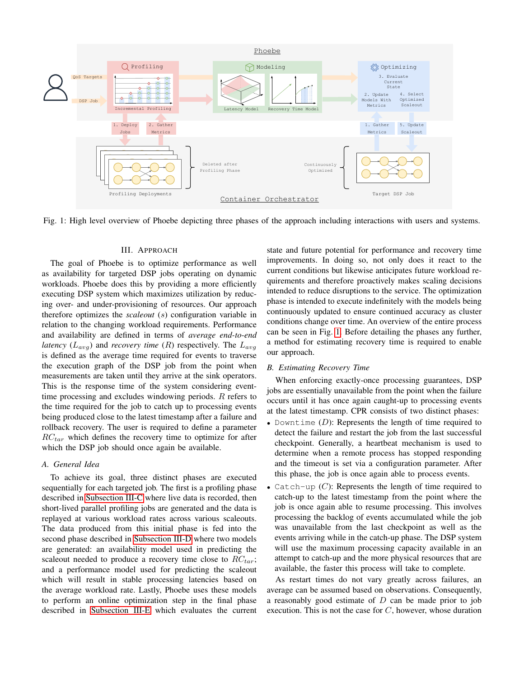<span id="page-2-0"></span>

Fig. 1: High level overview of Phoebe depicting three phases of the approach including interactions with users and systems.

## III. APPROACH

The goal of Phoebe is to optimize performance as well as availability for targeted DSP jobs operating on dynamic workloads. Phoebe does this by providing a more efficiently executing DSP system which maximizes utilization by reducing over- and under-provisioning of resources. Our approach therefore optimizes the *scaleout* (s) configuration variable in relation to the changing workload requirements. Performance and availability are defined in terms of *average end-to-end latency*  $(L_{avg})$  and *recovery time*  $(R)$  respectively. The  $L_{avg}$ is defined as the average time required for events to traverse the execution graph of the DSP job from the point when measurements are taken until they arrive at the sink operators. This is the response time of the system considering eventtime processing and excludes windowing periods. R refers to the time required for the job to catch up to processing events being produced close to the latest timestamp after a failure and rollback recovery. The user is required to define a parameter  $RC_{tar}$  which defines the recovery time to optimize for after which the DSP job should once again be available.

## *A. General Idea*

To achieve its goal, three distinct phases are executed sequentially for each targeted job. The first is a profiling phase described in [Subsection III-C](#page-3-0) where live data is recorded, then short-lived parallel profiling jobs are generated and the data is replayed at various workload rates across various scaleouts. The data produced from this initial phase is fed into the second phase described in [Subsection III-D](#page-4-0) where two models are generated: an availability model used in predicting the scaleout needed to produce a recovery time close to  $RC_{tar}$ ; and a performance model used for predicting the scaleout which will result in stable processing latencies based on the average workload rate. Lastly, Phoebe uses these models to perform an online optimization step in the final phase described in [Subsection III-E](#page-4-1) which evaluates the current

state and future potential for performance and recovery time improvements. In doing so, not only does it react to the current conditions but likewise anticipates future workload requirements and therefore proactively makes scaling decisions intended to reduce disruptions to the service. The optimization phase is intended to execute indefinitely with the models being continuously updated to ensure continued accuracy as cluster conditions change over time. An overview of the entire process can be seen in Fig. [1.](#page-2-0) Before detailing the phases any further, a method for estimating recovery time is required to enable our approach.

## <span id="page-2-1"></span>*B. Estimating Recovery Time*

When enforcing exactly-once processing guarantees, DSP jobs are essentially unavailable from the point when the failure occurs until it has once again caught-up to processing events at the latest timestamp. CPR consists of two distinct phases:

- Downtime  $(D)$ : Represents the length of time required to detect the failure and restart the job from the last successful checkpoint. Generally, a heartbeat mechanism is used to determine when a remote process has stopped responding and the timeout is set via a configuration parameter. After this phase, the job is once again able to process events.
- Catch-up  $(C)$ : Represents the length of time required to catch-up to the latest timestamp from the point where the job is once again able to resume processing. This involves processing the backlog of events accumulated while the job was unavailable from the last checkpoint as well as the events arriving while in the catch-up phase. The DSP system will use the maximum processing capacity available in an attempt to catch-up and the more physical resources that are available, the faster this process will take to complete.

As restart times do not vary greatly across failures, an average can be assumed based on observations. Consequently, a reasonably good estimate of  $D$  can be made prior to job execution. This is not the case for  $C$ , however, whose duration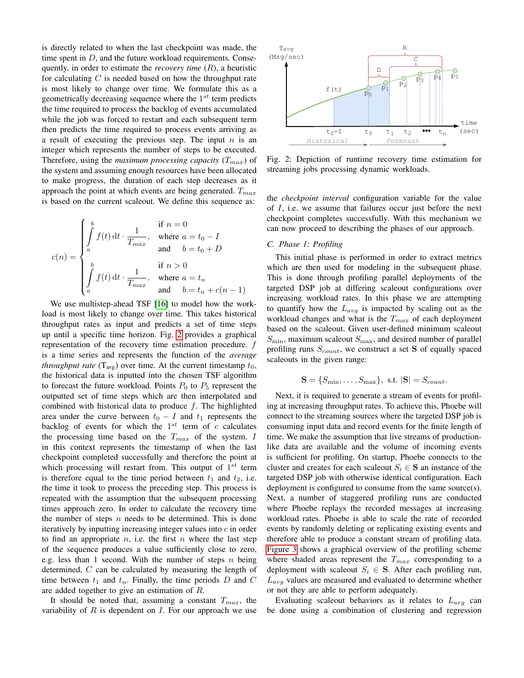is directly related to when the last checkpoint was made, the time spent in  $D$ , and the future workload requirements. Consequently, in order to estimate the *recovery time* (R), a heuristic for calculating  $C$  is needed based on how the throughput rate is most likely to change over time. We formulate this as a geometrically decreasing sequence where the  $1^{st}$  term predicts the time required to process the backlog of events accumulated while the job was forced to restart and each subsequent term then predicts the time required to process events arriving as a result of executing the previous step. The input  $n$  is an integer which represents the number of steps to be executed. Therefore, using the *maximum processing capacity*  $(T_{max})$  of the system and assuming enough resources have been allocated to make progress, the duration of each step decreases as it approach the point at which events are being generated.  $T_{max}$ is based on the current scaleout. We define this sequence as:

$$
c(n) = \begin{cases} \int_a^b f(t) dt \cdot \frac{1}{T_{max}}, & \text{if } n = 0\\ a & \text{and} \quad b = t_0 + D\\ \int_a^b f(t) dt \cdot \frac{1}{T_{max}}, & \text{if } n > 0\\ a & \text{and} \quad b = t_n + c(n - 1) \end{cases}
$$

We use multistep-ahead TSF [\[16\]](#page-9-11) to model how the workload is most likely to change over time. This takes historical throughput rates as input and predicts a set of time steps up until a specific time horizon. Fig. [2](#page-3-1) provides a graphical representation of the recovery time estimation procedure. f is a time series and represents the function of the *average throughput rate*  $(T_{avg})$  over time. At the current timestamp  $t_0$ , the historical data is inputted into the chosen TSF algorithm to forecast the future workload. Points  $P_0$  to  $P_5$  represent the outputted set of time steps which are then interpolated and combined with historical data to produce  $f$ . The highlighted area under the curve between  $t_0 - I$  and  $t_1$  represents the backlog of events for which the  $1^{st}$  term of c calculates the processing time based on the  $T_{max}$  of the system. I in this context represents the timestamp of when the last checkpoint completed successfully and therefore the point at which processing will restart from. This output of  $1^{st}$  term is therefore equal to the time period between  $t_1$  and  $t_2$ , i.e. the time it took to process the preceding step. This process is repeated with the assumption that the subsequent processing times approach zero. In order to calculate the recovery time the number of steps  $n$  needs to be determined. This is done iteratively by inputting increasing integer values into c in order to find an appropriate  $n$ , i.e. the first  $n$  where the last step of the sequence produces a value sufficiently close to zero, e.g. less than 1 second. With the number of steps  $n$  being determined, C can be calculated by measuring the length of time between  $t_1$  and  $t_n$ . Finally, the time periods D and C are added together to give an estimation of R.

It should be noted that, assuming a constant  $T_{max}$ , the variability of  $R$  is dependent on  $I$ . For our approach we use

<span id="page-3-1"></span>

Fig. 2: Depiction of runtime recovery time estimation for streaming jobs processing dynamic workloads.

the *checkpoint interval* configuration variable for the value of  $I$ , i.e. we assume that failures occur just before the next checkpoint completes successfully. With this mechanism we can now proceed to describing the phases of our approach.

# <span id="page-3-0"></span>*C. Phase 1: Profiling*

This initial phase is performed in order to extract metrics which are then used for modeling in the subsequent phase. This is done through profiling parallel deployments of the targeted DSP job at differing scaleout configurations over increasing workload rates. In this phase we are attempting to quantify how the  $L_{avg}$  is impacted by scaling out as the workload changes and what is the  $T_{max}$  of each deployment based on the scaleout. Given user-defined minimum scaleout  $S_{\text{min}}$ , maximum scaleout  $S_{\text{max}}$ , and desired number of parallel profiling runs  $S_{count}$ , we construct a set S of equally spaced scaleouts in the given range:

$$
\mathbf{S} = \{S_{\min}, \dots, S_{\max}\}, \text{ s.t. } |\mathbf{S}| = S_{count}.
$$

Next, it is required to generate a stream of events for profiling at increasing throughput rates. To achieve this, Phoebe will connect to the streaming sources where the targeted DSP job is consuming input data and record events for the finite length of time. We make the assumption that live streams of productionlike data are available and the volume of incoming events is sufficient for profiling. On startup, Phoebe connects to the cluster and creates for each scaleout  $S_i \in \mathbf{S}$  an instance of the targeted DSP job with otherwise identical configuration. Each deployment is configured to consume from the same source(s). Next, a number of staggered profiling runs are conducted where Phoebe replays the recorded messages at increasing workload rates. Phoebe is able to scale the rate of recorded events by randomly deleting or replicating existing events and therefore able to produce a constant stream of profiling data. [Figure 3](#page-4-2) shows a graphical overview of the profiling scheme where shaded areas represent the  $T_{max}$  corresponding to a deployment with scaleout  $S_i \in \mathbf{S}$ . After each profiling run,  $L_{avg}$  values are measured and evaluated to determine whether or not they are able to perform adequately.

Evaluating scaleout behaviors as it relates to  $L_{ava}$  can be done using a combination of clustering and regression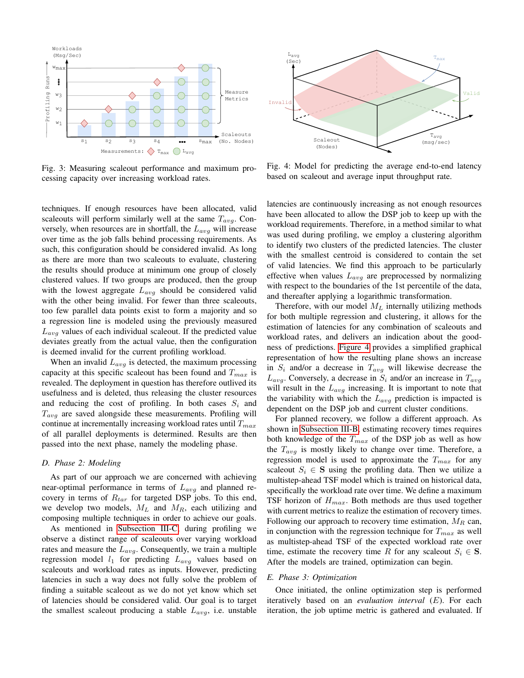<span id="page-4-2"></span>

Fig. 3: Measuring scaleout performance and maximum processing capacity over increasing workload rates.



When an invalid  $L_{avg}$  is detected, the maximum processing capacity at this specific scaleout has been found and  $T_{max}$  is revealed. The deployment in question has therefore outlived its usefulness and is deleted, thus releasing the cluster resources and reducing the cost of profiling. In both cases  $S_i$  and  $T_{avg}$  are saved alongside these measurements. Profiling will continue at incrementally increasing workload rates until  $T_{max}$ of all parallel deployments is determined. Results are then passed into the next phase, namely the modeling phase.

## <span id="page-4-0"></span>*D. Phase 2: Modeling*

As part of our approach we are concerned with achieving near-optimal performance in terms of  $L_{avg}$  and planned recovery in terms of  $R_{tar}$  for targeted DSP jobs. To this end, we develop two models,  $M_L$  and  $M_R$ , each utilizing and composing multiple techniques in order to achieve our goals.

As mentioned in [Subsection III-C,](#page-3-0) during profiling we observe a distinct range of scaleouts over varying workload rates and measure the  $L_{avg}$ . Consequently, we train a multiple regression model  $l_1$  for predicting  $L_{avg}$  values based on scaleouts and workload rates as inputs. However, predicting latencies in such a way does not fully solve the problem of finding a suitable scaleout as we do not yet know which set of latencies should be considered valid. Our goal is to target the smallest scaleout producing a stable  $L_{avg}$ , i.e. unstable

<span id="page-4-3"></span>

Fig. 4: Model for predicting the average end-to-end latency based on scaleout and average input throughput rate.

latencies are continuously increasing as not enough resources have been allocated to allow the DSP job to keep up with the workload requirements. Therefore, in a method similar to what was used during profiling, we employ a clustering algorithm to identify two clusters of the predicted latencies. The cluster with the smallest centroid is considered to contain the set of valid latencies. We find this approach to be particularly effective when values  $L_{avg}$  are preprocessed by normalizing with respect to the boundaries of the 1st percentile of the data, and thereafter applying a logarithmic transformation.

Therefore, with our model  $M_L$  internally utilizing methods for both multiple regression and clustering, it allows for the estimation of latencies for any combination of scaleouts and workload rates, and delivers an indication about the goodness of predictions. [Figure 4](#page-4-3) provides a simplified graphical representation of how the resulting plane shows an increase in  $S_i$  and/or a decrease in  $T_{avg}$  will likewise decrease the  $L_{avg}$ . Conversely, a decrease in  $S_i$  and/or an increase in  $T_{avg}$ will result in the  $L_{avg}$  increasing. It is important to note that the variability with which the  $L_{avg}$  prediction is impacted is dependent on the DSP job and current cluster conditions.

For planned recovery, we follow a different approach. As shown in [Subsection III-B,](#page-2-1) estimating recovery times requires both knowledge of the  $T_{max}$  of the DSP job as well as how the  $T_{avg}$  is mostly likely to change over time. Therefore, a regression model is used to approximate the  $T_{max}$  for any scaleout  $S_i \in \mathbf{S}$  using the profiling data. Then we utilize a multistep-ahead TSF model which is trained on historical data, specifically the workload rate over time. We define a maximum TSF horizon of  $H_{max}$ . Both methods are thus used together with current metrics to realize the estimation of recovery times. Following our approach to recovery time estimation,  $M_R$  can, in conjunction with the regression technique for  $T_{max}$  as well as multistep-ahead TSF of the expected workload rate over time, estimate the recovery time R for any scaleout  $S_i \in \mathbf{S}$ . After the models are trained, optimization can begin.

#### <span id="page-4-1"></span>*E. Phase 3: Optimization*

Once initiated, the online optimization step is performed iteratively based on an *evaluation interval* (E). For each iteration, the job uptime metric is gathered and evaluated. If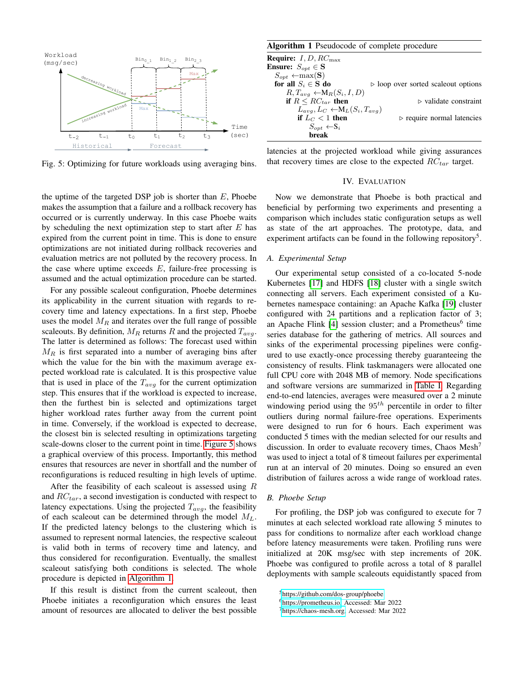<span id="page-5-0"></span>

Fig. 5: Optimizing for future workloads using averaging bins.

the uptime of the targeted DSP job is shorter than  $E$ , Phoebe makes the assumption that a failure and a rollback recovery has occurred or is currently underway. In this case Phoebe waits by scheduling the next optimization step to start after  $E$  has expired from the current point in time. This is done to ensure optimizations are not initiated during rollback recoveries and evaluation metrics are not polluted by the recovery process. In the case where uptime exceeds  $E$ , failure-free processing is assumed and the actual optimization procedure can be started.

For any possible scaleout configuration, Phoebe determines its applicability in the current situation with regards to recovery time and latency expectations. In a first step, Phoebe uses the model  $M_R$  and iterates over the full range of possible scaleouts. By definition,  $M_R$  returns R and the projected  $T_{avg}$ . The latter is determined as follows: The forecast used within  $M_R$  is first separated into a number of averaging bins after which the value for the bin with the maximum average expected workload rate is calculated. It is this prospective value that is used in place of the  $T_{avg}$  for the current optimization step. This ensures that if the workload is expected to increase, then the furthest bin is selected and optimizations target higher workload rates further away from the current point in time. Conversely, if the workload is expected to decrease, the closest bin is selected resulting in optimizations targeting scale-downs closer to the current point in time. [Figure 5](#page-5-0) shows a graphical overview of this process. Importantly, this method ensures that resources are never in shortfall and the number of reconfigurations is reduced resulting in high levels of uptime.

After the feasibility of each scaleout is assessed using  $R$ and  $RC_{tar}$ , a second investigation is conducted with respect to latency expectations. Using the projected  $T_{avg}$ , the feasibility of each scaleout can be determined through the model  $M_L$ . If the predicted latency belongs to the clustering which is assumed to represent normal latencies, the respective scaleout is valid both in terms of recovery time and latency, and thus considered for reconfiguration. Eventually, the smallest scaleout satisfying both conditions is selected. The whole procedure is depicted in [Algorithm 1.](#page-5-1)

If this result is distinct from the current scaleout, then Phoebe initiates a reconfiguration which ensures the least amount of resources are allocated to deliver the best possible

<span id="page-5-1"></span>Algorithm 1 Pseudocode of complete procedure

| $\triangleright$ loop over sorted scaleout options |
|----------------------------------------------------|
|                                                    |
| $\triangleright$ validate constraint               |
| $L_{avg}, L_C \leftarrow M_L(S_i, T_{avg})$        |
| $\triangleright$ require normal latencies          |
|                                                    |
|                                                    |
|                                                    |

latencies at the projected workload while giving assurances that recovery times are close to the expected  $RC_{tar}$  target.

## IV. EVALUATION

Now we demonstrate that Phoebe is both practical and beneficial by performing two experiments and presenting a comparison which includes static configuration setups as well as state of the art approaches. The prototype, data, and experiment artifacts can be found in the following repository<sup>5</sup>.

#### *A. Experimental Setup*

Our experimental setup consisted of a co-located 5-node Kubernetes [\[17\]](#page-9-12) and HDFS [\[18\]](#page-9-13) cluster with a single switch connecting all servers. Each experiment consisted of a Kubernetes namespace containing: an Apache Kafka [\[19\]](#page-9-14) cluster configured with 24 partitions and a replication factor of 3; an Apache Flink [\[4\]](#page-9-2) session cluster; and a Prometheus<sup>6</sup> time series database for the gathering of metrics. All sources and sinks of the experimental processing pipelines were configured to use exactly-once processing thereby guaranteeing the consistency of results. Flink taskmanagers were allocated one full CPU core with 2048 MB of memory. Node specifications and software versions are summarized in [Table I.](#page-6-0) Regarding end-to-end latencies, averages were measured over a 2 minute windowing period using the  $95<sup>th</sup>$  percentile in order to filter outliers during normal failure-free operations. Experiments were designed to run for 6 hours. Each experiment was conducted 5 times with the median selected for our results and discussion. In order to evaluate recovery times, Chaos Mesh<sup>7</sup> was used to inject a total of 8 timeout failures per experimental run at an interval of 20 minutes. Doing so ensured an even distribution of failures across a wide range of workload rates.

## *B. Phoebe Setup*

For profiling, the DSP job was configured to execute for 7 minutes at each selected workload rate allowing 5 minutes to pass for conditions to normalize after each workload change before latency measurements were taken. Profiling runs were initialized at 20K msg/sec with step increments of 20K. Phoebe was configured to profile across a total of 8 parallel deployments with sample scaleouts equidistantly spaced from

<sup>5</sup><https://github.com/dos-group/phoebe>

<sup>6</sup>[https://prometheus.io,](https://prometheus.io) Accessed: Mar 2022

<sup>7</sup>[https://chaos-mesh.org,](https://chaos-mesh.org) Accessed: Mar 2022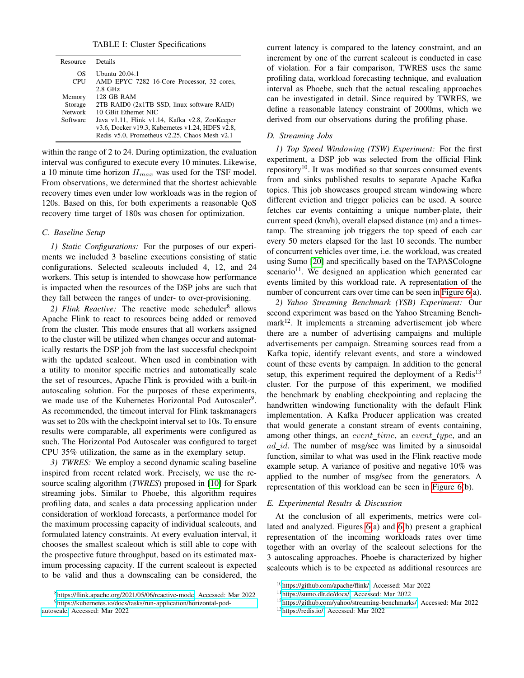TABLE I: Cluster Specifications

<span id="page-6-0"></span>

| Resource       | Details                                          |
|----------------|--------------------------------------------------|
| OS             | Ubuntu 20.04.1                                   |
| <b>CPU</b>     | AMD EPYC 7282 16-Core Processor, 32 cores,       |
|                | $2.8$ GHz                                        |
| Memory         | <b>128 GB RAM</b>                                |
| Storage        | 2TB RAID0 (2x1TB SSD, linux software RAID)       |
| <b>Network</b> | 10 GBit Ethernet NIC                             |
| Software       | Java v1.11, Flink v1.14, Kafka v2.8, ZooKeeper   |
|                | v3.6, Docker v19.3, Kubernetes v1.24, HDFS v2.8, |
|                | Redis v5.0, Prometheus v2.25, Chaos Mesh v2.1    |

within the range of 2 to 24. During optimization, the evaluation interval was configured to execute every 10 minutes. Likewise, a 10 minute time horizon  $H_{max}$  was used for the TSF model. From observations, we determined that the shortest achievable recovery times even under low workloads was in the region of 120s. Based on this, for both experiments a reasonable QoS recovery time target of 180s was chosen for optimization.

#### *C. Baseline Setup*

*1) Static Configurations:* For the purposes of our experiments we included 3 baseline executions consisting of static configurations. Selected scaleouts included 4, 12, and 24 workers. This setup is intended to showcase how performance is impacted when the resources of the DSP jobs are such that they fall between the ranges of under- to over-provisioning.

2) Flink Reactive: The reactive mode scheduler<sup>8</sup> allows Apache Flink to react to resources being added or removed from the cluster. This mode ensures that all workers assigned to the cluster will be utilized when changes occur and automatically restarts the DSP job from the last successful checkpoint with the updated scaleout. When used in combination with a utility to monitor specific metrics and automatically scale the set of resources, Apache Flink is provided with a built-in autoscaling solution. For the purposes of these experiments, we made use of the Kubernetes Horizontal Pod Autoscaler<sup>9</sup>. As recommended, the timeout interval for Flink taskmanagers was set to 20s with the checkpoint interval set to 10s. To ensure results were comparable, all experiments were configured as such. The Horizontal Pod Autoscaler was configured to target CPU 35% utilization, the same as in the exemplary setup.

*3) TWRES:* We employ a second dynamic scaling baseline inspired from recent related work. Precisely, we use the resource scaling algorithm (*TWRES*) proposed in [\[10\]](#page-9-15) for Spark streaming jobs. Similar to Phoebe, this algorithm requires profiling data, and scales a data processing application under consideration of workload forecasts, a performance model for the maximum processing capacity of individual scaleouts, and formulated latency constraints. At every evaluation interval, it chooses the smallest scaleout which is still able to cope with the prospective future throughput, based on its estimated maximum processing capacity. If the current scaleout is expected to be valid and thus a downscaling can be considered, the current latency is compared to the latency constraint, and an increment by one of the current scaleout is conducted in case of violation. For a fair comparison, TWRES uses the same profiling data, workload forecasting technique, and evaluation interval as Phoebe, such that the actual rescaling approaches can be investigated in detail. Since required by TWRES, we define a reasonable latency constraint of 2000ms, which we derived from our observations during the profiling phase.

## *D. Streaming Jobs*

*1) Top Speed Windowing (TSW) Experiment:* For the first experiment, a DSP job was selected from the official Flink repository<sup>10</sup>. It was modified so that sources consumed events from and sinks published results to separate Apache Kafka topics. This job showcases grouped stream windowing where different eviction and trigger policies can be used. A source fetches car events containing a unique number-plate, their current speed (km/h), overall elapsed distance (m) and a timestamp. The streaming job triggers the top speed of each car every 50 meters elapsed for the last 10 seconds. The number of concurrent vehicles over time, i.e. the workload, was created using Sumo [\[20\]](#page-9-16) and specifically based on the TAPASCologne scenario<sup>11</sup>. We designed an application which generated car events limited by this workload rate. A representation of the number of concurrent cars over time can be seen in [Figure 6\(](#page-7-0)a).

*2) Yahoo Streaming Benchmark (YSB) Experiment:* Our second experiment was based on the Yahoo Streaming Bench $mark<sup>12</sup>$ . It implements a streaming advertisement job where there are a number of advertising campaigns and multiple advertisements per campaign. Streaming sources read from a Kafka topic, identify relevant events, and store a windowed count of these events by campaign. In addition to the general setup, this experiment required the deployment of a Redis $13$ cluster. For the purpose of this experiment, we modified the benchmark by enabling checkpointing and replacing the handwritten windowing functionality with the default Flink implementation. A Kafka Producer application was created that would generate a constant stream of events containing, among other things, an *event time*, an *event type*, and an  $ad\_id$ . The number of msg/sec was limited by a sinusoidal function, similar to what was used in the Flink reactive mode example setup. A variance of positive and negative 10% was applied to the number of msg/sec from the generators. A representation of this workload can be seen in [Figure 6\(](#page-7-0)b).

#### *E. Experimental Results & Discussion*

At the conclusion of all experiments, metrics were collated and analyzed. Figures [6\(](#page-7-0)a) and [6\(](#page-7-0)b) present a graphical representation of the incoming workloads rates over time together with an overlay of the scaleout selections for the 3 autoscaling approaches. Phoebe is characterized by higher scaleouts which is to be expected as additional resources are

<sup>13</sup>[https://redis.io/,](https://redis.io/) Accessed: Mar 2022

<sup>8</sup>[https://flink.apache.org/2021/05/06/reactive-mode,](https://flink.apache.org/2021/05/06/reactive-mode) Accessed: Mar 2022 <sup>9</sup>[https://kubernetes.io/docs/tasks/run-application/horizontal-pod](https://kubernetes.io/docs/tasks/run-application/horizontal-pod-autoscale)[autoscale,](https://kubernetes.io/docs/tasks/run-application/horizontal-pod-autoscale) Accessed: Mar 2022

<sup>10</sup>[https://github.com/apache/flink/;](https://github.com/apache/flink/) Accessed: Mar 2022

<sup>11</sup>[https://sumo.dlr.de/docs/;](https://sumo.dlr.de/docs/) Accessed: Mar 2022

<sup>12</sup>[https://github.com/yahoo/streaming-benchmarks/,](https://github.com/yahoo/streaming-benchmarks/) Accessed: Mar 2022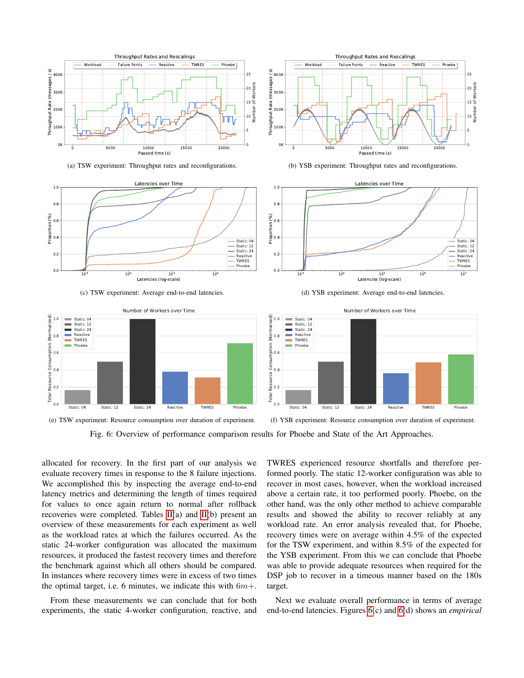<span id="page-7-0"></span>

(a) TSW experiment: Throughput rates and reconfigurations.



(c) TSW experiment: Average end-to-end latencies.

Throughput Rates and Rescalings - Workload --- Failure Points --- Reactive --- TWRES --- Phoebe (messages / s) Throughput Rate (messages / s) 400 25 20 Number of Workers 300K Throughput Rate 15 눈 200K ر<br>10<br>5<br>2 100K 5 0K  $\mathbf{0}$ 0 5000 10000 15000 20000 Passed time (s)

(b) YSB experiment: Throughput rates and reconfigurations.







Fig. 6: Overview of performance comparison results for Phoebe and State of the Art Approaches.

allocated for recovery. In the first part of our analysis we evaluate recovery times in response to the 8 failure injections. We accomplished this by inspecting the average end-to-end latency metrics and determining the length of times required for values to once again return to normal after rollback recoveries were completed. Tables [II\(](#page-8-0)a) and [II\(](#page-8-0)b) present an overview of these measurements for each experiment as well as the workload rates at which the failures occurred. As the static 24-worker configuration was allocated the maximum resources, it produced the fastest recovery times and therefore the benchmark against which all others should be compared. In instances where recovery times were in excess of two times the optimal target, i.e. 6 minutes, we indicate this with  $6m+$ .

From these measurements we can conclude that for both experiments, the static 4-worker configuration, reactive, and TWRES experienced resource shortfalls and therefore performed poorly. The static 12-worker configuration was able to recover in most cases, however, when the workload increased above a certain rate, it too performed poorly. Phoebe, on the other hand, was the only other method to achieve comparable results and showed the ability to recover reliably at any workload rate. An error analysis revealed that, for Phoebe, recovery times were on average within 4.5% of the expected for the TSW experiment, and within 8.5% of the expected for the YSB experiment. From this we can conclude that Phoebe was able to provide adequate resources when required for the DSP job to recover in a timeous manner based on the 180s target.

Next we evaluate overall performance in terms of average end-to-end latencies. Figures [6\(](#page-7-0)c) and [6\(](#page-7-0)d) shows an *empirical*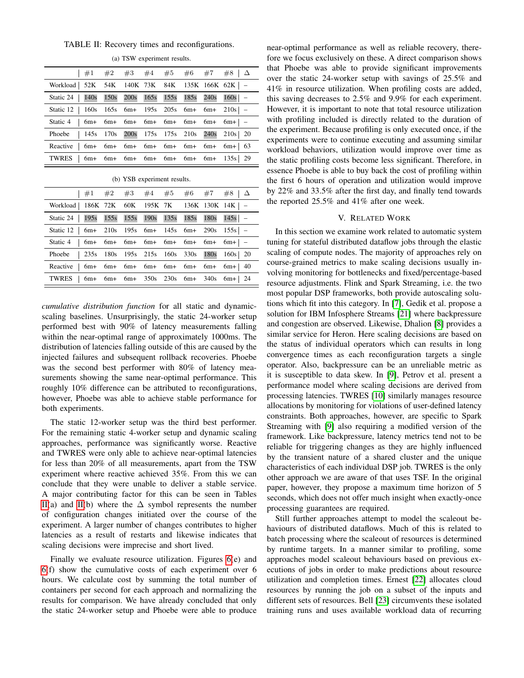TABLE II: Recovery times and reconfigurations.

|                                                            |  |  |  | $\begin{array}{ l c c c c c c c } \hline \#1 & \#2 & \#3 & \#4 & \#5 & \#6 & \#7 & \#8 & \Delta \ \hline \end{array}$ |
|------------------------------------------------------------|--|--|--|-----------------------------------------------------------------------------------------------------------------------|
| Workload   52K 54K 140K 73K 84K 135K 166K 62K   -          |  |  |  |                                                                                                                       |
| Static 24   140s 150s 200s 165s 155s 185s 240s 160s   -    |  |  |  |                                                                                                                       |
| Static 12   160s 165s 6m+ 195s 205s 6m+ 6m+ 210s   -       |  |  |  |                                                                                                                       |
| Static 4 $\vert$ 6m+ 6m+ 6m+ 6m+ 6m+ 6m+ 6m+ 6m+ $\vert$ - |  |  |  |                                                                                                                       |
| Phoebe   145s 170s 200s 175s 175s 210s 240s 210s 20        |  |  |  |                                                                                                                       |
| Reactive $\vert$ 6m+ 6m+ 6m+ 6m+ 6m+ 6m+ 6m+ 6m+ 63        |  |  |  |                                                                                                                       |
| TWRES $\vert$ 6m+ 6m+ 6m+ 6m+ 6m+ 6m+ 6m+ 135s 29          |  |  |  |                                                                                                                       |

(a) TSW experiment results.

|  |  |  | (b) YSB experiment results. |  |
|--|--|--|-----------------------------|--|
|--|--|--|-----------------------------|--|

<span id="page-8-0"></span>

|                                                             |  |  | #1 #2 #3 #4 #5 #6 #7 #8 $\Delta$ |  |  |
|-------------------------------------------------------------|--|--|----------------------------------|--|--|
| Workload   186K 72K 60K 195K 7K 136K 130K 14K   -           |  |  |                                  |  |  |
| Static 24   195s 155s 155s 190s 135s 185s 180s 145s -       |  |  |                                  |  |  |
| Static 12   6m+ 210s 195s 6m+ 145s 6m+ 290s 155s   -        |  |  |                                  |  |  |
| Static 4   $6m+ 6m+ 6m+ 6m+ 6m+ 6m+ 6m+ 6m+$                |  |  |                                  |  |  |
| Phoebe   235s 180s 195s 215s 160s 330s 180s 160s 20         |  |  |                                  |  |  |
| Reactive $\vert$ 6m+ 6m+ 6m+ 6m+ 6m+ 6m+ 6m+ 6m+ $\vert$ 40 |  |  |                                  |  |  |
| TWRES   6m+ 6m+ 6m+ 350s 230s 6m+ 340s 6m+ 24               |  |  |                                  |  |  |

*cumulative distribution function* for all static and dynamicscaling baselines. Unsurprisingly, the static 24-worker setup performed best with 90% of latency measurements falling within the near-optimal range of approximately 1000ms. The distribution of latencies falling outside of this are caused by the injected failures and subsequent rollback recoveries. Phoebe was the second best performer with 80% of latency measurements showing the same near-optimal performance. This roughly 10% difference can be attributed to reconfigurations, however, Phoebe was able to achieve stable performance for both experiments.

The static 12-worker setup was the third best performer. For the remaining static 4-worker setup and dynamic scaling approaches, performance was significantly worse. Reactive and TWRES were only able to achieve near-optimal latencies for less than 20% of all measurements, apart from the TSW experiment where reactive achieved 35%. From this we can conclude that they were unable to deliver a stable service. A major contributing factor for this can be seen in Tables [II\(](#page-8-0)a) and [II\(](#page-8-0)b) where the  $\Delta$  symbol represents the number of configuration changes initiated over the course of the experiment. A larger number of changes contributes to higher latencies as a result of restarts and likewise indicates that scaling decisions were imprecise and short lived.

Finally we evaluate resource utilization. Figures [6\(](#page-7-0)e) and [6\(](#page-7-0)f) show the cumulative costs of each experiment over 6 hours. We calculate cost by summing the total number of containers per second for each approach and normalizing the results for comparison. We have already concluded that only the static 24-worker setup and Phoebe were able to produce near-optimal performance as well as reliable recovery, therefore we focus exclusively on these. A direct comparison shows that Phoebe was able to provide significant improvements over the static 24-worker setup with savings of 25.5% and 41% in resource utilization. When profiling costs are added, this saving decreases to 2.5% and 9.9% for each experiment. However, it is important to note that total resource utilization with profiling included is directly related to the duration of the experiment. Because profiling is only executed once, if the experiments were to continue executing and assuming similar workload behaviors, utilization would improve over time as the static profiling costs become less significant. Therefore, in essence Phoebe is able to buy back the cost of profiling within the first 6 hours of operation and utilization would improve by 22% and 33.5% after the first day, and finally tend towards the reported 25.5% and 41% after one week.

## V. RELATED WORK

In this section we examine work related to automatic system tuning for stateful distributed dataflow jobs through the elastic scaling of compute nodes. The majority of approaches rely on course-grained metrics to make scaling decisions usually involving monitoring for bottlenecks and fixed/percentage-based resource adjustments. Flink and Spark Streaming, i.e. the two most popular DSP frameworks, both provide autoscaling solutions which fit into this category. In [\[7\]](#page-9-5), Gedik et al. propose a solution for IBM Infosphere Streams [\[21\]](#page-9-17) where backpressure and congestion are observed. Likewise, Dhalion [\[8\]](#page-9-18) provides a similar service for Heron. Here scaling decisions are based on the status of individual operators which can results in long convergence times as each reconfiguration targets a single operator. Also, backpressure can be an unreliable metric as it is susceptible to data skew. In [\[9\]](#page-9-19), Petrov et al. present a performance model where scaling decisions are derived from processing latencies. TWRES [\[10\]](#page-9-15) similarly manages resource allocations by monitoring for violations of user-defined latency constraints. Both approaches, however, are specific to Spark Streaming with [\[9\]](#page-9-19) also requiring a modified version of the framework. Like backpressure, latency metrics tend not to be reliable for triggering changes as they are highly influenced by the transient nature of a shared cluster and the unique characteristics of each individual DSP job. TWRES is the only other approach we are aware of that uses TSF. In the original paper, however, they propose a maximum time horizon of 5 seconds, which does not offer much insight when exactly-once processing guarantees are required.

Still further approaches attempt to model the scaleout behaviours of distributed dataflows. Much of this is related to batch processing where the scaleout of resources is determined by runtime targets. In a manner similar to profiling, some approaches model scaleout behaviours based on previous executions of jobs in order to make predictions about resource utilization and completion times. Ernest [\[22\]](#page-9-20) allocates cloud resources by running the job on a subset of the inputs and different sets of resources. Bell [\[23\]](#page-9-21) circumvents these isolated training runs and uses available workload data of recurring